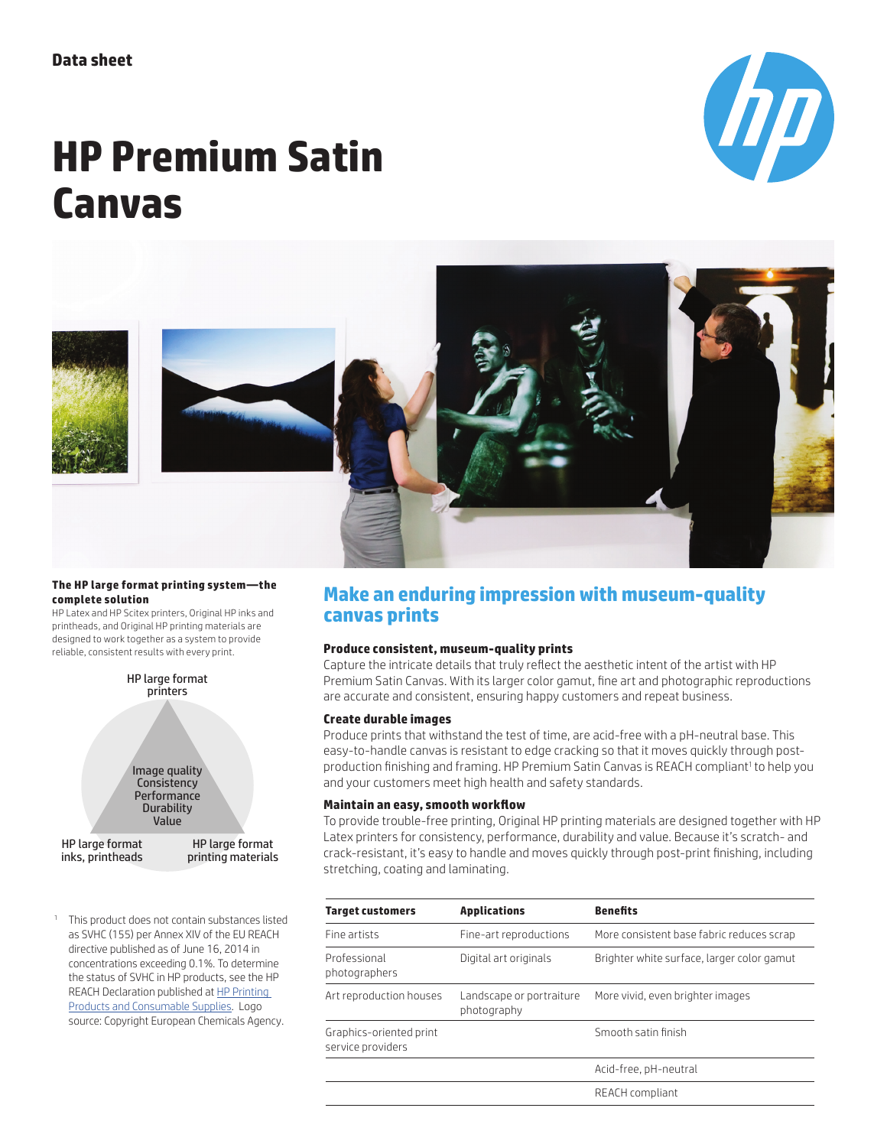# **HP Premium Satin Canvas**





#### **The HP large format printing system—the complete solution**

HP Latex and HP Scitex printers, Original HP inks and printheads, and Original HP printing materials are designed to work together as a system to provide reliable, consistent results with every print.



<sup>1</sup> This product does not contain substances listed as SVHC (155) per Annex XIV of the EU REACH directive published as of June 16, 2014 in concentrations exceeding 0.1%. To determine the status of SVHC in HP products, see the HP REACH Declaration published at HP Printing Products and Consumable Supplies. Logo source: Copyright European Chemicals Agency.

## **Make an enduring impression with museum-quality canvas prints**

## **Produce consistent, museum-quality prints**

Capture the intricate details that truly reflect the aesthetic intent of the artist with HP Premium Satin Canvas. With its larger color gamut, fine art and photographic reproductions are accurate and consistent, ensuring happy customers and repeat business.

### **Create durable images**

Produce prints that withstand the test of time, are acid-free with a pH-neutral base. This easy-to-handle canvas is resistant to edge cracking so that it moves quickly through postproduction finishing and framing. HP Premium Satin Canvas is REACH compliant<sup>1</sup> to help you and your customers meet high health and safety standards.

### **Maintain an easy, smooth workflow**

To provide trouble-free printing, Original HP printing materials are designed together with HP Latex printers for consistency, performance, durability and value. Because it's scratch- and crack-resistant, it's easy to handle and moves quickly through post-print finishing, including stretching, coating and laminating.

| <b>Target customers</b>                      | <b>Applications</b>                                                 | <b>Benefits</b>                           |  |  |
|----------------------------------------------|---------------------------------------------------------------------|-------------------------------------------|--|--|
| Fine artists                                 | Fine-art reproductions                                              | More consistent base fabric reduces scrap |  |  |
| Professional<br>photographers                | Brighter white surface, larger color gamut<br>Digital art originals |                                           |  |  |
| Art reproduction houses                      | Landscape or portraiture<br>photography                             | More vivid, even brighter images          |  |  |
| Graphics-oriented print<br>service providers |                                                                     | Smooth satin finish                       |  |  |
|                                              |                                                                     | Acid-free, pH-neutral                     |  |  |
|                                              |                                                                     | REACH compliant                           |  |  |